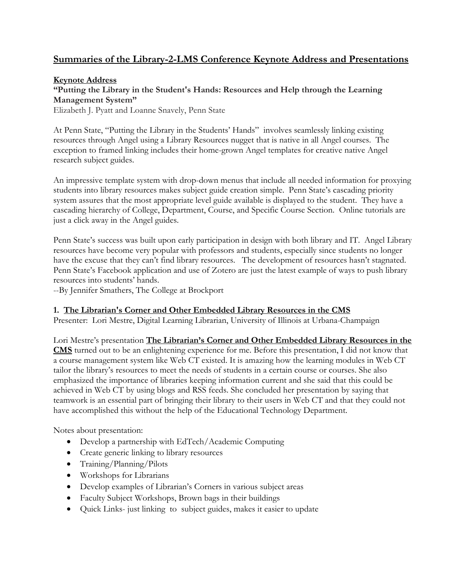## **Summaries of the Library-2-LMS Conference Keynote Address and Presentations**

### **Keynote Address**

## **"Putting the Library in the Student's Hands: Resources and Help through the Learning Management System"**

Elizabeth J. Pyatt and Loanne Snavely, Penn State

At Penn State, "Putting the Library in the Students' Hands" involves seamlessly linking existing resources through Angel using a Library Resources nugget that is native in all Angel courses. The exception to framed linking includes their home-grown Angel templates for creative native Angel research subject guides.

An impressive template system with drop-down menus that include all needed information for proxying students into library resources makes subject guide creation simple. Penn State's cascading priority system assures that the most appropriate level guide available is displayed to the student. They have a cascading hierarchy of College, Department, Course, and Specific Course Section. Online tutorials are just a click away in the Angel guides.

Penn State's success was built upon early participation in design with both library and IT. Angel Library resources have become very popular with professors and students, especially since students no longer have the excuse that they can't find library resources. The development of resources hasn't stagnated. Penn State's Facebook application and use of Zotero are just the latest example of ways to push library resources into students' hands.

--By Jennifer Smathers, The College at Brockport

### **1. The Librarian's Corner and Other Embedded Library Resources in the CMS**

Presenter: Lori Mestre, Digital Learning Librarian, University of Illinois at Urbana-Champaign

Lori Mestre's presentation **The Librarian's Corner and Other Embedded Library Resources in the CMS** turned out to be an enlightening experience for me. Before this presentation, I did not know that a course management system like Web CT existed. It is amazing how the learning modules in Web CT tailor the library's resources to meet the needs of students in a certain course or courses. She also emphasized the importance of libraries keeping information current and she said that this could be achieved in Web CT by using blogs and RSS feeds. She concluded her presentation by saying that teamwork is an essential part of bringing their library to their users in Web CT and that they could not have accomplished this without the help of the Educational Technology Department.

Notes about presentation:

- Develop a partnership with EdTech/Academic Computing
- Create generic linking to library resources
- Training/Planning/Pilots
- Workshops for Librarians
- Develop examples of Librarian's Corners in various subject areas
- Faculty Subject Workshops, Brown bags in their buildings
- Quick Links- just linking to subject guides, makes it easier to update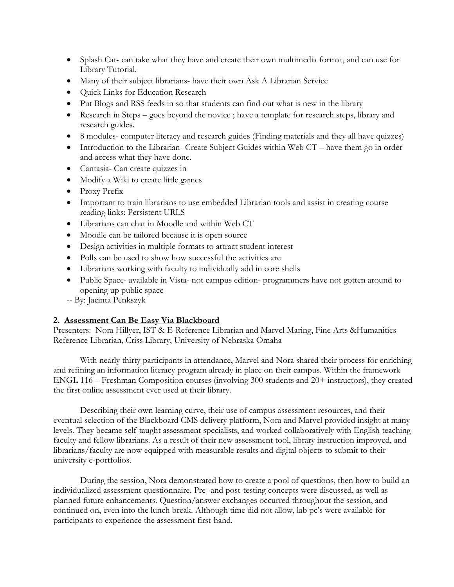- Splash Cat- can take what they have and create their own multimedia format, and can use for Library Tutorial.
- Many of their subject librarians- have their own Ask A Librarian Service
- Quick Links for Education Research
- Put Blogs and RSS feeds in so that students can find out what is new in the library
- Research in Steps goes beyond the novice ; have a template for research steps, library and research guides.
- 8 modules- computer literacy and research guides (Finding materials and they all have quizzes)
- Introduction to the Librarian- Create Subject Guides within Web CT have them go in order and access what they have done.
- Cantasia- Can create quizzes in
- Modify a Wiki to create little games
- Proxy Prefix
- Important to train librarians to use embedded Librarian tools and assist in creating course reading links: Persistent URLS
- Librarians can chat in Moodle and within Web CT
- Moodle can be tailored because it is open source
- Design activities in multiple formats to attract student interest
- Polls can be used to show how successful the activities are
- Librarians working with faculty to individually add in core shells
- Public Space- available in Vista- not campus edition- programmers have not gotten around to opening up public space
- -- By: Jacinta Penkszyk

### **2. Assessment Can Be Easy Via Blackboard**

Presenters: Nora Hillyer, IST & E-Reference Librarian and Marvel Maring, Fine Arts &Humanities Reference Librarian, Criss Library, University of Nebraska Omaha

With nearly thirty participants in attendance, Marvel and Nora shared their process for enriching and refining an information literacy program already in place on their campus. Within the framework ENGL 116 – Freshman Composition courses (involving 300 students and 20+ instructors), they created the first online assessment ever used at their library.

Describing their own learning curve, their use of campus assessment resources, and their eventual selection of the Blackboard CMS delivery platform, Nora and Marvel provided insight at many levels. They became self-taught assessment specialists, and worked collaboratively with English teaching faculty and fellow librarians. As a result of their new assessment tool, library instruction improved, and librarians/faculty are now equipped with measurable results and digital objects to submit to their university e-portfolios.

During the session, Nora demonstrated how to create a pool of questions, then how to build an individualized assessment questionnaire. Pre- and post-testing concepts were discussed, as well as planned future enhancements. Question/answer exchanges occurred throughout the session, and continued on, even into the lunch break. Although time did not allow, lab pc's were available for participants to experience the assessment first-hand.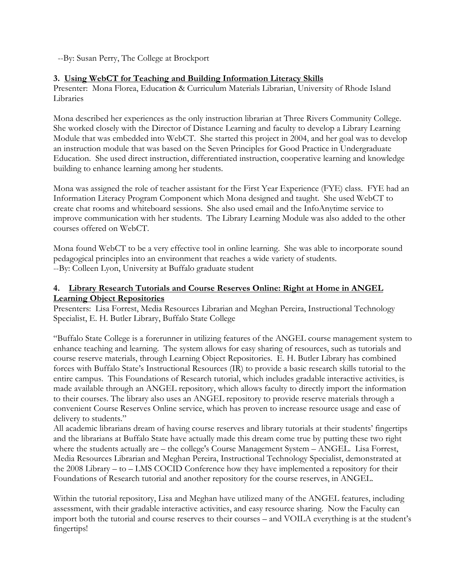--By: Susan Perry, The College at Brockport

## **3. Using WebCT for Teaching and Building Information Literacy Skills**

Presenter: Mona Florea, Education & Curriculum Materials Librarian, University of Rhode Island Libraries

Mona described her experiences as the only instruction librarian at Three Rivers Community College. She worked closely with the Director of Distance Learning and faculty to develop a Library Learning Module that was embedded into WebCT. She started this project in 2004, and her goal was to develop an instruction module that was based on the Seven Principles for Good Practice in Undergraduate Education. She used direct instruction, differentiated instruction, cooperative learning and knowledge building to enhance learning among her students.

Mona was assigned the role of teacher assistant for the First Year Experience (FYE) class. FYE had an Information Literacy Program Component which Mona designed and taught. She used WebCT to create chat rooms and whiteboard sessions. She also used email and the InfoAnytime service to improve communication with her students. The Library Learning Module was also added to the other courses offered on WebCT.

Mona found WebCT to be a very effective tool in online learning. She was able to incorporate sound pedagogical principles into an environment that reaches a wide variety of students. --By: Colleen Lyon, University at Buffalo graduate student

## **4. Library Research Tutorials and Course Reserves Online: Right at Home in ANGEL Learning Object Repositories**

Presenters: Lisa Forrest, Media Resources Librarian and Meghan Pereira, Instructional Technology Specialist, E. H. Butler Library, Buffalo State College

"Buffalo State College is a forerunner in utilizing features of the ANGEL course management system to enhance teaching and learning. The system allows for easy sharing of resources, such as tutorials and course reserve materials, through Learning Object Repositories. E. H. Butler Library has combined forces with Buffalo State's Instructional Resources (IR) to provide a basic research skills tutorial to the entire campus. This Foundations of Research tutorial, which includes gradable interactive activities, is made available through an ANGEL repository, which allows faculty to directly import the information to their courses. The library also uses an ANGEL repository to provide reserve materials through a convenient Course Reserves Online service, which has proven to increase resource usage and ease of delivery to students."

All academic librarians dream of having course reserves and library tutorials at their students' fingertips and the librarians at Buffalo State have actually made this dream come true by putting these two right where the students actually are – the college's Course Management System – ANGEL. Lisa Forrest, Media Resources Librarian and Meghan Pereira, Instructional Technology Specialist, demonstrated at the 2008 Library – to – LMS COCID Conference how they have implemented a repository for their Foundations of Research tutorial and another repository for the course reserves, in ANGEL.

Within the tutorial repository, Lisa and Meghan have utilized many of the ANGEL features, including assessment, with their gradable interactive activities, and easy resource sharing. Now the Faculty can import both the tutorial and course reserves to their courses – and VOILA everything is at the student's fingertips!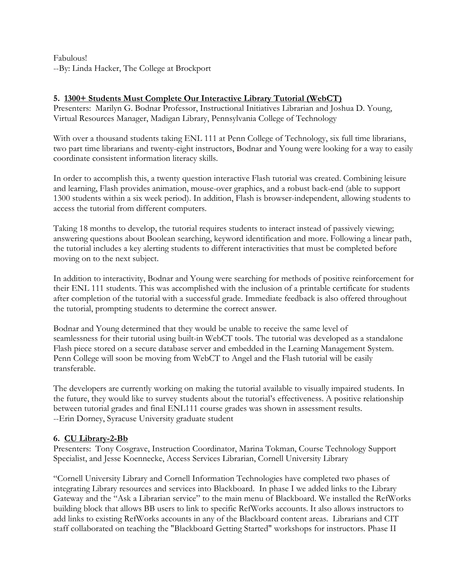Fabulous! --By: Linda Hacker, The College at Brockport

## **5. 1300+ Students Must Complete Our Interactive Library Tutorial (WebCT)**

Presenters: Marilyn G. Bodnar Professor, Instructional Initiatives Librarian and Joshua D. Young, Virtual Resources Manager, Madigan Library, Pennsylvania College of Technology

With over a thousand students taking ENL 111 at Penn College of Technology, six full time librarians, two part time librarians and twenty-eight instructors, Bodnar and Young were looking for a way to easily coordinate consistent information literacy skills.

In order to accomplish this, a twenty question interactive Flash tutorial was created. Combining leisure and learning, Flash provides animation, mouse-over graphics, and a robust back-end (able to support 1300 students within a six week period). In addition, Flash is browser-independent, allowing students to access the tutorial from different computers.

Taking 18 months to develop, the tutorial requires students to interact instead of passively viewing; answering questions about Boolean searching, keyword identification and more. Following a linear path, the tutorial includes a key alerting students to different interactivities that must be completed before moving on to the next subject.

In addition to interactivity, Bodnar and Young were searching for methods of positive reinforcement for their ENL 111 students. This was accomplished with the inclusion of a printable certificate for students after completion of the tutorial with a successful grade. Immediate feedback is also offered throughout the tutorial, prompting students to determine the correct answer.

Bodnar and Young determined that they would be unable to receive the same level of seamlessness for their tutorial using built-in WebCT tools. The tutorial was developed as a standalone Flash piece stored on a secure database server and embedded in the Learning Management System. Penn College will soon be moving from WebCT to Angel and the Flash tutorial will be easily transferable.

The developers are currently working on making the tutorial available to visually impaired students. In the future, they would like to survey students about the tutorial's effectiveness. A positive relationship between tutorial grades and final ENL111 course grades was shown in assessment results. --Erin Dorney, Syracuse University graduate student

### **6. CU Library-2-Bb**

Presenters: Tony Cosgrave, Instruction Coordinator, Marina Tokman, Course Technology Support Specialist, and Jesse Koennecke, Access Services Librarian, Cornell University Library

"Cornell University Library and Cornell Information Technologies have completed two phases of integrating Library resources and services into Blackboard. In phase I we added links to the Library Gateway and the "Ask a Librarian service" to the main menu of Blackboard. We installed the RefWorks building block that allows BB users to link to specific RefWorks accounts. It also allows instructors to add links to existing RefWorks accounts in any of the Blackboard content areas. Librarians and CIT staff collaborated on teaching the "Blackboard Getting Started" workshops for instructors. Phase II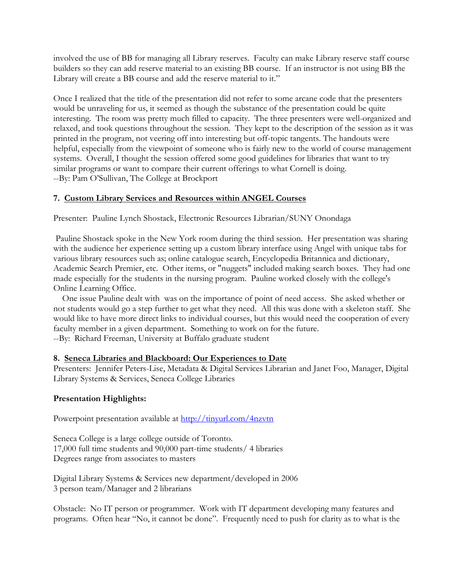involved the use of BB for managing all Library reserves. Faculty can make Library reserve staff course builders so they can add reserve material to an existing BB course. If an instructor is not using BB the Library will create a BB course and add the reserve material to it."

Once I realized that the title of the presentation did not refer to some arcane code that the presenters would be unraveling for us, it seemed as though the substance of the presentation could be quite interesting. The room was pretty much filled to capacity. The three presenters were well-organized and relaxed, and took questions throughout the session. They kept to the description of the session as it was printed in the program, not veering off into interesting but off-topic tangents. The handouts were helpful, especially from the viewpoint of someone who is fairly new to the world of course management systems. Overall, I thought the session offered some good guidelines for libraries that want to try similar programs or want to compare their current offerings to what Cornell is doing. --By: Pam O'Sullivan, The College at Brockport

## **7. Custom Library Services and Resources within ANGEL Courses**

Presenter: Pauline Lynch Shostack, Electronic Resources Librarian/SUNY Onondaga

 Pauline Shostack spoke in the New York room during the third session. Her presentation was sharing with the audience her experience setting up a custom library interface using Angel with unique tabs for various library resources such as; online catalogue search, Encyclopedia Britannica and dictionary, Academic Search Premier, etc. Other items, or "nuggets" included making search boxes. They had one made especially for the students in the nursing program. Pauline worked closely with the college's Online Learning Office.

 One issue Pauline dealt with was on the importance of point of need access. She asked whether or not students would go a step further to get what they need. All this was done with a skeleton staff. She would like to have more direct links to individual courses, but this would need the cooperation of every faculty member in a given department. Something to work on for the future. --By: Richard Freeman, University at Buffalo graduate student

### **8. Seneca Libraries and Blackboard: Our Experiences to Date**

Presenters: Jennifer Peters-Lise, Metadata & Digital Services Librarian and Janet Foo, Manager, Digital Library Systems & Services, Seneca College Libraries

### **Presentation Highlights:**

Powerpoint presentation available at http://tinyurl.com/4nzvtn

Seneca College is a large college outside of Toronto. 17,000 full time students and 90,000 part-time students/ 4 libraries Degrees range from associates to masters

Digital Library Systems & Services new department/developed in 2006 3 person team/Manager and 2 librarians

Obstacle: No IT person or programmer. Work with IT department developing many features and programs. Often hear "No, it cannot be done". Frequently need to push for clarity as to what is the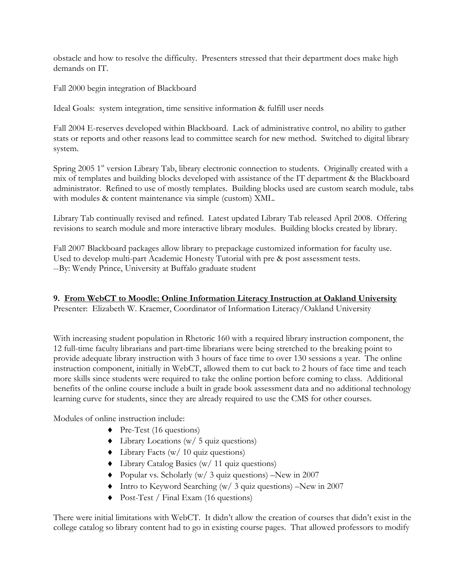obstacle and how to resolve the difficulty. Presenters stressed that their department does make high demands on IT.

Fall 2000 begin integration of Blackboard

Ideal Goals: system integration, time sensitive information & fulfill user needs

Fall 2004 E-reserves developed within Blackboard. Lack of administrative control, no ability to gather stats or reports and other reasons lead to committee search for new method. Switched to digital library system.

Spring 2005 1<sup>st</sup> version Library Tab, library electronic connection to students. Originally created with a mix of templates and building blocks developed with assistance of the IT department & the Blackboard administrator. Refined to use of mostly templates. Building blocks used are custom search module, tabs with modules & content maintenance via simple (custom) XML.

Library Tab continually revised and refined. Latest updated Library Tab released April 2008. Offering revisions to search module and more interactive library modules. Building blocks created by library.

Fall 2007 Blackboard packages allow library to prepackage customized information for faculty use. Used to develop multi-part Academic Honesty Tutorial with pre & post assessment tests. --By: Wendy Prince, University at Buffalo graduate student

# **9. From WebCT to Moodle: Online Information Literacy Instruction at Oakland University**

Presenter: Elizabeth W. Kraemer, Coordinator of Information Literacy/Oakland University

With increasing student population in Rhetoric 160 with a required library instruction component, the 12 full-time faculty librarians and part-time librarians were being stretched to the breaking point to provide adequate library instruction with 3 hours of face time to over 130 sessions a year. The online instruction component, initially in WebCT, allowed them to cut back to 2 hours of face time and teach more skills since students were required to take the online portion before coming to class. Additional benefits of the online course include a built in grade book assessment data and no additional technology learning curve for students, since they are already required to use the CMS for other courses.

Modules of online instruction include:

- $\blacklozenge$  Pre-Test (16 questions)
- $\blacklozenge$  Library Locations (w/ 5 quiz questions)
- ♦ Library Facts (w/ 10 quiz questions)
- ♦ Library Catalog Basics (w/ 11 quiz questions)
- ♦ Popular vs. Scholarly (w/ 3 quiz questions) –New in 2007
- ♦ Intro to Keyword Searching (w/ 3 quiz questions) –New in 2007
- ♦ Post-Test / Final Exam (16 questions)

There were initial limitations with WebCT. It didn't allow the creation of courses that didn't exist in the college catalog so library content had to go in existing course pages. That allowed professors to modify